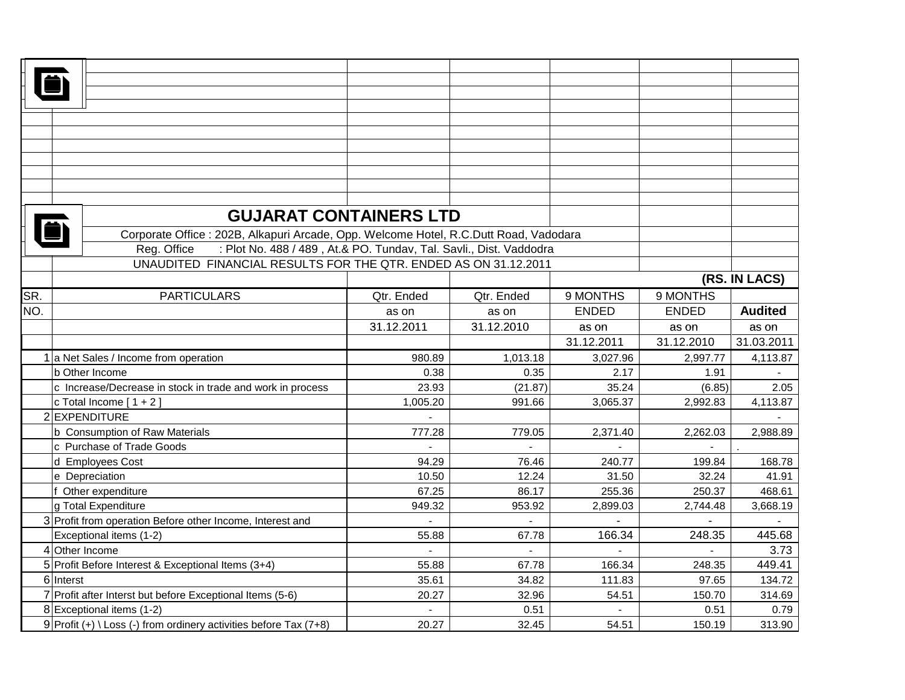|     | <b>GUJARAT CONTAINERS LTD</b>                                                         |                |              |                |              |                |  |
|-----|---------------------------------------------------------------------------------------|----------------|--------------|----------------|--------------|----------------|--|
|     | Corporate Office : 202B, Alkapuri Arcade, Opp. Welcome Hotel, R.C.Dutt Road, Vadodara |                |              |                |              |                |  |
|     | : Plot No. 488 / 489, At.& PO. Tundav, Tal. Savli., Dist. Vaddodra<br>Reg. Office     |                |              |                |              |                |  |
|     | UNAUDITED FINANCIAL RESULTS FOR THE QTR. ENDED AS ON 31.12.2011                       |                |              |                |              |                |  |
|     |                                                                                       |                |              |                |              | (RS. IN LACS)  |  |
| SR. | <b>PARTICULARS</b>                                                                    | Qtr. Ended     | Qtr. Ended   | 9 MONTHS       | 9 MONTHS     |                |  |
| NO. |                                                                                       | as on          | as on        | <b>ENDED</b>   | <b>ENDED</b> | <b>Audited</b> |  |
|     |                                                                                       | 31.12.2011     | 31.12.2010   | as on          | as on        | as on          |  |
|     |                                                                                       |                |              | 31.12.2011     | 31.12.2010   | 31.03.2011     |  |
|     | 1 a Net Sales / Income from operation                                                 | 980.89         | 1,013.18     | 3,027.96       | 2,997.77     | 4,113.87       |  |
|     | b Other Income                                                                        | 0.38           | 0.35         | 2.17           | 1.91         |                |  |
|     | c Increase/Decrease in stock in trade and work in process                             | 23.93          | (21.87)      | 35.24          | (6.85)       | 2.05           |  |
|     | c Total Income $[1 + 2]$                                                              | 1,005.20       | 991.66       | 3,065.37       | 2,992.83     | 4,113.87       |  |
|     | 2 EXPENDITURE                                                                         |                |              |                |              |                |  |
|     | b Consumption of Raw Materials                                                        | 777.28         | 779.05       | 2,371.40       | 2,262.03     | 2,988.89       |  |
|     | c Purchase of Trade Goods                                                             | $\overline{a}$ |              |                |              |                |  |
|     | d Employees Cost                                                                      | 94.29          | 76.46        | 240.77         | 199.84       | 168.78         |  |
|     | e Depreciation                                                                        | 10.50          | 12.24        | 31.50          | 32.24        | 41.91          |  |
|     | Other expenditure                                                                     | 67.25          | 86.17        | 255.36         | 250.37       | 468.61         |  |
|     | g Total Expenditure                                                                   | 949.32         | 953.92       | 2,899.03       | 2,744.48     | 3,668.19       |  |
|     | 3 Profit from operation Before other Income, Interest and                             | $\blacksquare$ | $\mathbf{r}$ | $\overline{a}$ |              |                |  |
|     | Exceptional items (1-2)                                                               | 55.88          | 67.78        | 166.34         | 248.35       | 445.68         |  |
|     | 4 Other Income                                                                        | $\blacksquare$ |              |                |              | 3.73           |  |
|     | 5 Profit Before Interest & Exceptional Items (3+4)                                    | 55.88          | 67.78        | 166.34         | 248.35       | 449.41         |  |
|     | 6 Interst                                                                             | 35.61          | 34.82        | 111.83         | 97.65        | 134.72         |  |
|     | 7 Profit after Interst but before Exceptional Items (5-6)                             | 20.27          | 32.96        | 54.51          | 150.70       | 314.69         |  |
|     | 8 Exceptional items (1-2)                                                             |                | 0.51         | $\overline{a}$ | 0.51         | 0.79           |  |
|     | 9 Profit $(+) \setminus$ Loss $(-)$ from ordinery activities before Tax (7+8)         | 20.27          | 32.45        | 54.51          | 150.19       | 313.90         |  |